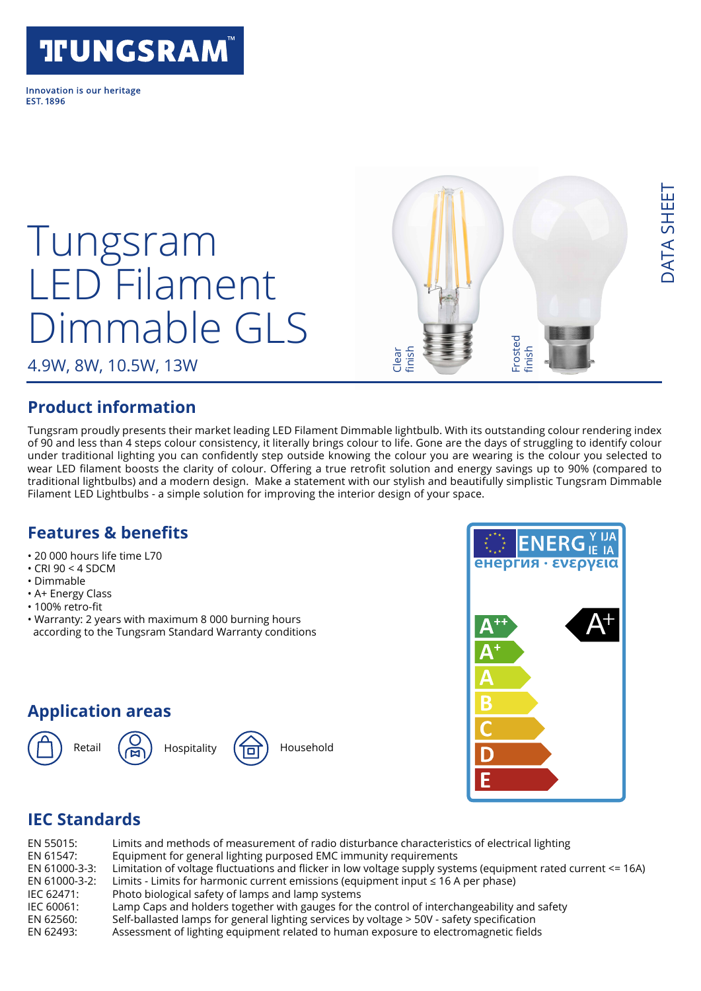# **TFUNGSRAM**

Innovation is our heritage **FST 1896** 

# Tungsram LED Filament Dimmable GLS

4.9W, 8W, 10.5W, 13W

#### **Product information**

Tungsram proudly presents their market leading LED Filament Dimmable lightbulb. With its outstanding colour rendering index of 90 and less than 4 steps colour consistency, it literally brings colour to life. Gone are the days of struggling to identify colour under traditional lighting you can confidently step outside knowing the colour you are wearing is the colour you selected to wear LED filament boosts the clarity of colour. Offering a true retrofit solution and energy savings up to 90% (compared to traditional lightbulbs) and a modern design. Make a statement with our stylish and beautifully simplistic Tungsram Dimmable Filament LED Lightbulbs - a simple solution for improving the interior design of your space.

Clear finish

#### **Features & benefits**

- 20 000 hours life time L70
- $\cdot$  CRI 90 < 4 SDCM
- Dimmable
- A+ Energy Class
- 100% retro-fit
- Warranty: 2 years with maximum 8 000 burning hours according to the Tungsram Standard Warranty conditions

#### **Application areas**







Frosted finish

# **IEC Standards**

| EN 55015:     | Limits and methods of measurement of radio disturbance characteristics of electrical lighting                 |
|---------------|---------------------------------------------------------------------------------------------------------------|
| EN 61547:     | Equipment for general lighting purposed EMC immunity requirements                                             |
| EN 61000-3-3: | Limitation of voltage fluctuations and flicker in low voltage supply systems (equipment rated current <= 16A) |
| EN 61000-3-2: | Limits - Limits for harmonic current emissions (equipment input $\leq 16$ A per phase)                        |
| IEC 62471:    | Photo biological safety of lamps and lamp systems                                                             |
| IEC 60061:    | Lamp Caps and holders together with gauges for the control of interchangeability and safety                   |
| EN 62560:     | Self-ballasted lamps for general lighting services by voltage > 50V - safety specification                    |
| EN 62493:     | Assessment of lighting equipment related to human exposure to electromagnetic fields                          |
|               |                                                                                                               |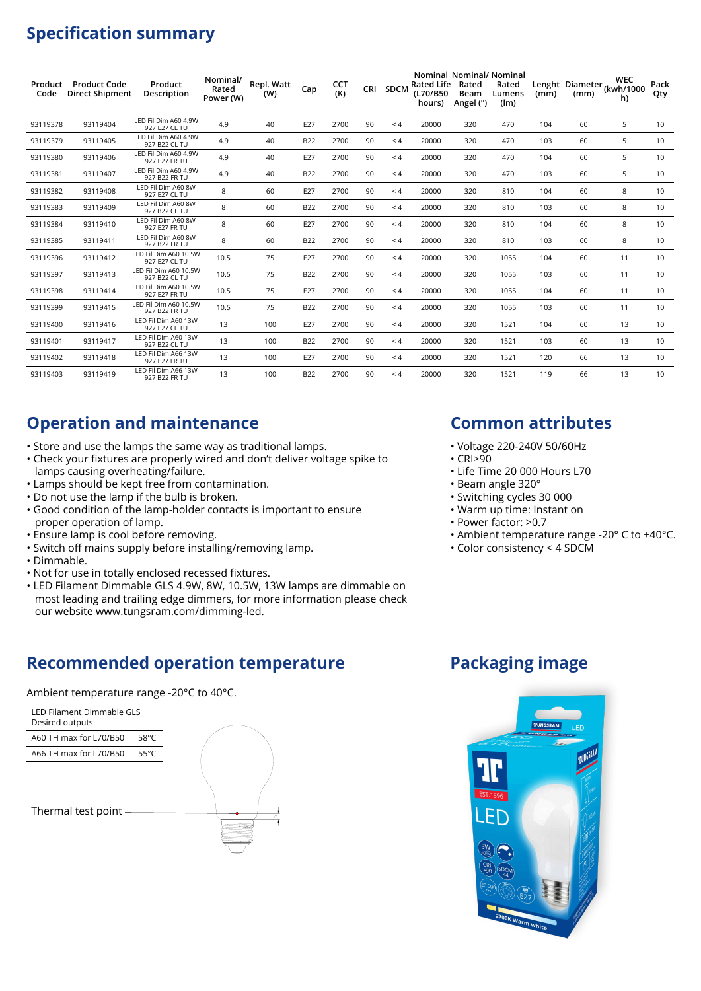## **Specification summary**

| Product<br>Code | <b>Product Code</b><br><b>Direct Shipment</b> | Product<br>Description                 | Nominal/<br>Rated<br>Power (W) | Repl. Watt<br>(W) | Cap        | CCT<br>(K) | CRI | <b>SDCM</b> | <b>Rated Life</b><br>(L70/B50<br>hours) | Nominal Nominal/ Nominal<br>Rated<br>Beam<br>Angel (°) | Rated<br>Lumens<br>(lm) | (mm) | (mm) | <b>WEC</b><br>Lenght Diameter (kwh/1000<br>h) | Pack<br>Qty |
|-----------------|-----------------------------------------------|----------------------------------------|--------------------------------|-------------------|------------|------------|-----|-------------|-----------------------------------------|--------------------------------------------------------|-------------------------|------|------|-----------------------------------------------|-------------|
| 93119378        | 93119404                                      | LED Fil Dim A60 4.9W<br>927 E27 CL TU  | 4.9                            | 40                | E27        | 2700       | 90  | $\leq 4$    | 20000                                   | 320                                                    | 470                     | 104  | 60   | 5                                             | 10          |
| 93119379        | 93119405                                      | LED Fil Dim A60 4.9W<br>927 B22 CL TU  | 4.9                            | 40                | <b>B22</b> | 2700       | 90  | < 4         | 20000                                   | 320                                                    | 470                     | 103  | 60   | 5                                             | 10          |
| 93119380        | 93119406                                      | LED Fil Dim A60 4.9W<br>927 E27 FR TU  | 4.9                            | 40                | E27        | 2700       | 90  | $\leq 4$    | 20000                                   | 320                                                    | 470                     | 104  | 60   | 5                                             | 10          |
| 93119381        | 93119407                                      | LED Fil Dim A60 4.9W<br>927 B22 FR TU  | 4.9                            | 40                | <b>B22</b> | 2700       | 90  | $\leq 4$    | 20000                                   | 320                                                    | 470                     | 103  | 60   | 5                                             | 10          |
| 93119382        | 93119408                                      | LED Fil Dim A60 8W<br>927 E27 CL TU    | 8                              | 60                | E27        | 2700       | 90  | $\leq 4$    | 20000                                   | 320                                                    | 810                     | 104  | 60   | 8                                             | 10          |
| 93119383        | 93119409                                      | LED Fil Dim A60 8W<br>927 B22 CL TU    | 8                              | 60                | <b>B22</b> | 2700       | 90  | < 4         | 20000                                   | 320                                                    | 810                     | 103  | 60   | 8                                             | 10          |
| 93119384        | 93119410                                      | LED Fil Dim A60 8W<br>927 E27 FR TU    | 8                              | 60                | E27        | 2700       | 90  | $\leq 4$    | 20000                                   | 320                                                    | 810                     | 104  | 60   | 8                                             | 10          |
| 93119385        | 93119411                                      | LED Fil Dim A60 8W<br>927 B22 FR TU    | 8                              | 60                | <b>B22</b> | 2700       | 90  | $\leq 4$    | 20000                                   | 320                                                    | 810                     | 103  | 60   | 8                                             | 10          |
| 93119396        | 93119412                                      | LED Fil Dim A60 10.5W<br>927 E27 CL TU | 10.5                           | 75                | E27        | 2700       | 90  | < 4         | 20000                                   | 320                                                    | 1055                    | 104  | 60   | 11                                            | 10          |
| 93119397        | 93119413                                      | LED Fil Dim A60 10.5W<br>927 B22 CL TU | 10.5                           | 75                | <b>B22</b> | 2700       | 90  | < 4         | 20000                                   | 320                                                    | 1055                    | 103  | 60   | 11                                            | 10          |
| 93119398        | 93119414                                      | LED Fil Dim A60 10.5W<br>927 E27 FR TU | 10.5                           | 75                | E27        | 2700       | 90  | $\leq 4$    | 20000                                   | 320                                                    | 1055                    | 104  | 60   | 11                                            | 10          |
| 93119399        | 93119415                                      | LED Fil Dim A60 10.5W<br>927 B22 FR TU | 10.5                           | 75                | <b>B22</b> | 2700       | 90  | $\leq 4$    | 20000                                   | 320                                                    | 1055                    | 103  | 60   | 11                                            | 10          |
| 93119400        | 93119416                                      | LED Fil Dim A60 13W<br>927 E27 CL TU   | 13                             | 100               | E27        | 2700       | 90  | < 4         | 20000                                   | 320                                                    | 1521                    | 104  | 60   | 13                                            | 10          |
| 93119401        | 93119417                                      | LED Fil Dim A60 13W<br>927 B22 CL TU   | 13                             | 100               | <b>B22</b> | 2700       | 90  | $\leq 4$    | 20000                                   | 320                                                    | 1521                    | 103  | 60   | 13                                            | 10          |
| 93119402        | 93119418                                      | LED Fil Dim A66 13W<br>927 E27 FR TU   | 13                             | 100               | E27        | 2700       | 90  | $\leq 4$    | 20000                                   | 320                                                    | 1521                    | 120  | 66   | 13                                            | 10          |
| 93119403        | 93119419                                      | LED Fil Dim A66 13W<br>927 B22 FR TU   | 13                             | 100               | <b>B22</b> | 2700       | 90  | $\leq 4$    | 20000                                   | 320                                                    | 1521                    | 119  | 66   | 13                                            | 10          |

#### **Operation and maintenance**

- Store and use the lamps the same way as traditional lamps.
- Check your fixtures are properly wired and don't deliver voltage spike to lamps causing overheating/failure.
- Lamps should be kept free from contamination.
- Do not use the lamp if the bulb is broken.
- Good condition of the lamp-holder contacts is important to ensure proper operation of lamp.
- Ensure lamp is cool before removing.
- Switch off mains supply before installing/removing lamp.
- Dimmable.
- Not for use in totally enclosed recessed fixtures.
- LED Filament Dimmable GLS 4.9W, 8W, 10.5W, 13W lamps are dimmable on most leading and trailing edge dimmers, for more information please check our website www.tungsram.com/dimming-led.

#### **Recommended operation temperature**

Ambient temperature range -20°C to 40°C.



#### **Common attributes**

- Voltage 220-240V 50/60Hz
- $\cdot$  CRI $>90$
- Life Time 20 000 Hours L70
- Beam angle 320°
- Switching cycles 30 000
- Warm up time: Instant on
- Power factor: >0.7
- Ambient temperature range -20° C to +40°C.
- Color consistency < 4 SDCM

#### **Packaging image**